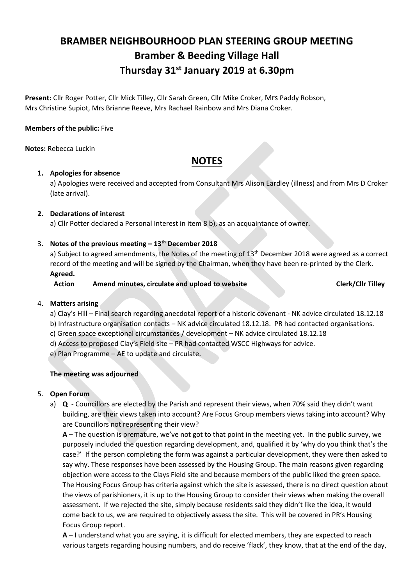# **BRAMBER NEIGHBOURHOOD PLAN STEERING GROUP MEETING Bramber & Beeding Village Hall Thursday 31st January 2019 at 6.30pm**

**Present:** Cllr Roger Potter, Cllr Mick Tilley, Cllr Sarah Green, Cllr Mike Croker, Mrs Paddy Robson, Mrs Christine Supiot, Mrs Brianne Reeve, Mrs Rachael Rainbow and Mrs Diana Croker.

# **Members of the public:** Five

**Notes:** Rebecca Luckin

# **NOTES**

## **1. Apologies for absence**

a) Apologies were received and accepted from Consultant Mrs Alison Eardley (illness) and from Mrs D Croker (late arrival).

# **2. Declarations of interest**

a) Cllr Potter declared a Personal Interest in item 8 b), as an acquaintance of owner.

# 3. **Notes of the previous meeting – 13th December 2018**

a) Subject to agreed amendments, the Notes of the meeting of 13<sup>th</sup> December 2018 were agreed as a correct record of the meeting and will be signed by the Chairman, when they have been re-printed by the Clerk.

## **Agreed.**

**Action Amend minutes, circulate and upload to website Clerk/Cllr Tilley**

## 4. **Matters arising**

- a) Clay's Hill Final search regarding anecdotal report of a historic covenant NK advice circulated 18.12.18 b) Infrastructure organisation contacts – NK advice circulated 18.12.18. PR had contacted organisations.
- c) Green space exceptional circumstances / development NK advice circulated 18.12.18
- d) Access to proposed Clay's Field site PR had contacted WSCC Highways for advice.
- e) Plan Programme AE to update and circulate.

## **The meeting was adjourned**

## 5. **Open Forum**

a) **Q** - Councillors are elected by the Parish and represent their views, when 70% said they didn't want building, are their views taken into account? Are Focus Group members views taking into account? Why are Councillors not representing their view?

**A** – The question is premature, we've not got to that point in the meeting yet. In the public survey, we purposely included the question regarding development, and, qualified it by 'why do you think that's the case?' If the person completing the form was against a particular development, they were then asked to say why. These responses have been assessed by the Housing Group. The main reasons given regarding objection were access to the Clays Field site and because members of the public liked the green space. The Housing Focus Group has criteria against which the site is assessed, there is no direct question about the views of parishioners, it is up to the Housing Group to consider their views when making the overall assessment. If we rejected the site, simply because residents said they didn't like the idea, it would come back to us, we are required to objectively assess the site. This will be covered in PR's Housing Focus Group report.

**A** – I understand what you are saying, it is difficult for elected members, they are expected to reach various targets regarding housing numbers, and do receive 'flack', they know, that at the end of the day,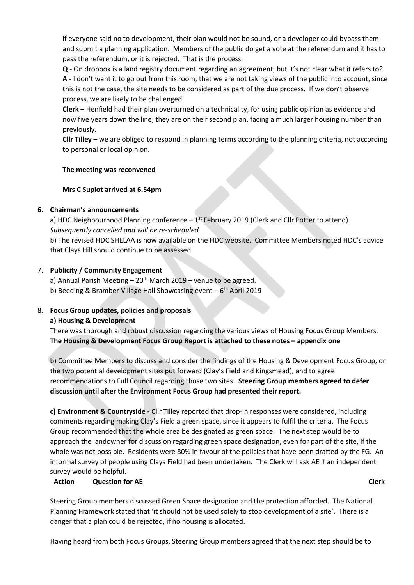if everyone said no to development, their plan would not be sound, or a developer could bypass them and submit a planning application. Members of the public do get a vote at the referendum and it has to pass the referendum, or it is rejected. That is the process.

**Q** - On dropbox is a land registry document regarding an agreement, but it's not clear what it refers to? **A** - I don't want it to go out from this room, that we are not taking views of the public into account, since this is not the case, the site needs to be considered as part of the due process. If we don't observe process, we are likely to be challenged.

**Clerk** – Henfield had their plan overturned on a technicality, for using public opinion as evidence and now five years down the line, they are on their second plan, facing a much larger housing number than previously.

**Cllr Tilley** – we are obliged to respond in planning terms according to the planning criteria, not according to personal or local opinion.

## **The meeting was reconvened**

#### **Mrs C Supiot arrived at 6.54pm**

#### **6. Chairman's announcements**

a) HDC Neighbourhood Planning conference  $-1$ <sup>st</sup> February 2019 (Clerk and Cllr Potter to attend). *Subsequently cancelled and will be re-scheduled.*

b) The revised HDC SHELAA is now available on the HDC website. Committee Members noted HDC's advice that Clays Hill should continue to be assessed.

#### 7. **Publicity / Community Engagement**

a) Annual Parish Meeting  $-20<sup>th</sup>$  March 2019 – venue to be agreed.

b) Beeding & Bramber Village Hall Showcasing event - 6<sup>th</sup> April 2019

# 8. **Focus Group updates, policies and proposals**

**a) Housing & Development**

There was thorough and robust discussion regarding the various views of Housing Focus Group Members. **The Housing & Development Focus Group Report is attached to these notes – appendix one**

b) Committee Members to discuss and consider the findings of the Housing & Development Focus Group, on the two potential development sites put forward (Clay's Field and Kingsmead), and to agree recommendations to Full Council regarding those two sites. **Steering Group members agreed to defer discussion until after the Environment Focus Group had presented their report.**

**c) Environment & Countryside -** Cllr Tilley reported that drop-in responses were considered, including comments regarding making Clay's Field a green space, since it appears to fulfil the criteria. The Focus Group recommended that the whole area be designated as green space. The next step would be to approach the landowner for discussion regarding green space designation, even for part of the site, if the whole was not possible. Residents were 80% in favour of the policies that have been drafted by the FG. An informal survey of people using Clays Field had been undertaken. The Clerk will ask AE if an independent survey would be helpful.

## **Action Question for AE Clerk**

Steering Group members discussed Green Space designation and the protection afforded. The National Planning Framework stated that 'it should not be used solely to stop development of a site'. There is a danger that a plan could be rejected, if no housing is allocated.

Having heard from both Focus Groups, Steering Group members agreed that the next step should be to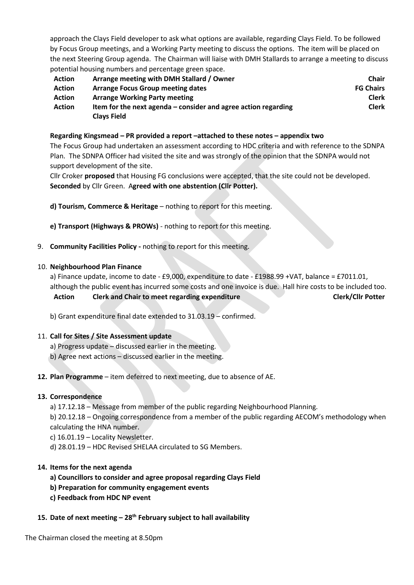approach the Clays Field developer to ask what options are available, regarding Clays Field. To be followed by Focus Group meetings, and a Working Party meeting to discuss the options. The item will be placed on the next Steering Group agenda. The Chairman will liaise with DMH Stallards to arrange a meeting to discuss potential housing numbers and percentage green space.

| <b>Action</b> | Arrange meeting with DMH Stallard / Owner                        | <b>Chair</b>     |
|---------------|------------------------------------------------------------------|------------------|
| <b>Action</b> | <b>Arrange Focus Group meeting dates</b>                         | <b>FG Chairs</b> |
| <b>Action</b> | <b>Arrange Working Party meeting</b>                             | <b>Clerk</b>     |
| <b>Action</b> | Item for the next agenda $-$ consider and agree action regarding | <b>Clerk</b>     |
|               | <b>Clays Field</b>                                               |                  |

#### **Regarding Kingsmead – PR provided a report –attached to these notes – appendix two**

The Focus Group had undertaken an assessment according to HDC criteria and with reference to the SDNPA Plan. The SDNPA Officer had visited the site and was strongly of the opinion that the SDNPA would not support development of the site.

Cllr Croker **proposed** that Housing FG conclusions were accepted, that the site could not be developed. **Seconded** by Cllr Green. A**greed with one abstention (Cllr Potter).**

**d) Tourism, Commerce & Heritage** – nothing to report for this meeting.

**e) Transport (Highways & PROWs)** - nothing to report for this meeting.

9. **Community Facilities Policy -** nothing to report for this meeting.

#### 10. **Neighbourhood Plan Finance**

a) Finance update, income to date - £9,000, expenditure to date - £1988.99 +VAT, balance = £7011.01, although the public event has incurred some costs and one invoice is due. Hall hire costs to be included too.

**Action Clerk and Chair to meet regarding expenditure Clerk/Cllr Potter**

b) Grant expenditure final date extended to 31.03.19 – confirmed.

#### 11. **Call for Sites / Site Assessment update**

- a) Progress update discussed earlier in the meeting.
- b) Agree next actions discussed earlier in the meeting.

#### **12. Plan Programme** – item deferred to next meeting, due to absence of AE.

#### **13. Correspondence**

a) 17.12.18 – Message from member of the public regarding Neighbourhood Planning.

b) 20.12.18 – Ongoing correspondence from a member of the public regarding AECOM's methodology when calculating the HNA number.

- c) 16.01.19 Locality Newsletter.
- d) 28.01.19 HDC Revised SHELAA circulated to SG Members.

#### **14. Items for the next agenda**

- **a) Councillors to consider and agree proposal regarding Clays Field**
- **b) Preparation for community engagement events**
- **c) Feedback from HDC NP event**

## **15. Date of next meeting – 28th February subject to hall availability**

The Chairman closed the meeting at 8.50pm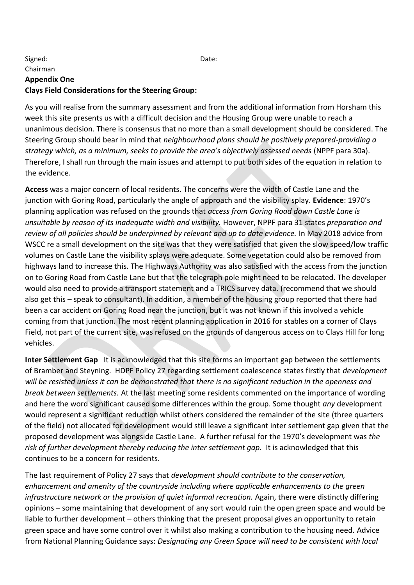# Signed: Date: Chairman **Appendix One Clays Field Considerations for the Steering Group:**

As you will realise from the summary assessment and from the additional information from Horsham this week this site presents us with a difficult decision and the Housing Group were unable to reach a unanimous decision. There is consensus that no more than a small development should be considered. The Steering Group should bear in mind that *neighbourhood plans should be positively prepared-providing a strategy which, as a minimum, seeks to provide the area's objectively assessed needs* (NPPF para 30a). Therefore, I shall run through the main issues and attempt to put both sides of the equation in relation to the evidence.

**Access** was a major concern of local residents. The concerns were the width of Castle Lane and the junction with Goring Road, particularly the angle of approach and the visibility splay. **Evidence**: 1970's planning application was refused on the grounds that *access from Goring Road down Castle Lane is unsuitable by reason of its inadequate width and visibility.* However, NPPF para 31 states *preparation and review of all policies should be underpinned by relevant and up to date evidence.* In May 2018 advice from WSCC re a small development on the site was that they were satisfied that given the slow speed/low traffic volumes on Castle Lane the visibility splays were adequate. Some vegetation could also be removed from highways land to increase this. The Highways Authority was also satisfied with the access from the junction on to Goring Road from Castle Lane but that the telegraph pole might need to be relocated. The developer would also need to provide a transport statement and a TRICS survey data. (recommend that we should also get this – speak to consultant). In addition, a member of the housing group reported that there had been a car accident on Goring Road near the junction, but it was not known if this involved a vehicle coming from that junction. The most recent planning application in 2016 for stables on a corner of Clays Field, not part of the current site, was refused on the grounds of dangerous access on to Clays Hill for long vehicles.

**Inter Settlement Gap** It is acknowledged that this site forms an important gap between the settlements of Bramber and Steyning. HDPF Policy 27 regarding settlement coalescence states firstly that *development will be resisted unless it can be demonstrated that there is no significant reduction in the openness and break between settlements.* At the last meeting some residents commented on the importance of wording and here the word significant caused some differences within the group. Some thought *any* development would represent a significant reduction whilst others considered the remainder of the site (three quarters of the field) not allocated for development would still leave a significant inter settlement gap given that the proposed development was alongside Castle Lane. A further refusal for the 1970's development was *the*  risk of further development thereby reducing the inter settlement gap. It is acknowledged that this continues to be a concern for residents.

The last requirement of Policy 27 says that *development should contribute to the conservation, enhancement and amenity of the countryside including where applicable enhancements to the green*  infrastructure network or the provision of quiet informal recreation. Again, there were distinctly differing opinions – some maintaining that development of any sort would ruin the open green space and would be liable to further development – others thinking that the present proposal gives an opportunity to retain green space and have some control over it whilst also making a contribution to the housing need. Advice from National Planning Guidance says: *Designating any Green Space will need to be consistent with local*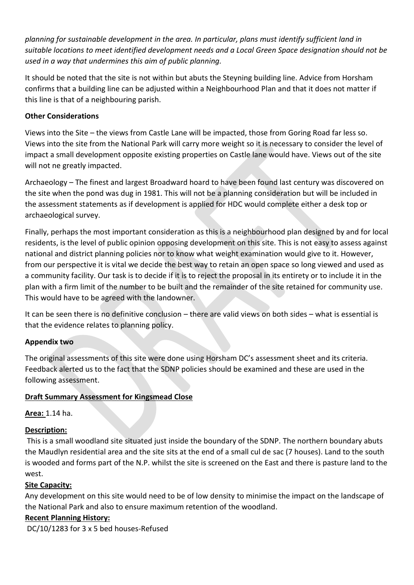*planning for sustainable development in the area. In particular, plans must identify sufficient land in suitable locations to meet identified development needs and a Local Green Space designation should not be used in a way that undermines this aim of public planning.*

It should be noted that the site is not within but abuts the Steyning building line. Advice from Horsham confirms that a building line can be adjusted within a Neighbourhood Plan and that it does not matter if this line is that of a neighbouring parish.

# **Other Considerations**

Views into the Site – the views from Castle Lane will be impacted, those from Goring Road far less so. Views into the site from the National Park will carry more weight so it is necessary to consider the level of impact a small development opposite existing properties on Castle lane would have. Views out of the site will not ne greatly impacted.

Archaeology – The finest and largest Broadward hoard to have been found last century was discovered on the site when the pond was dug in 1981. This will not be a planning consideration but will be included in the assessment statements as if development is applied for HDC would complete either a desk top or archaeological survey.

Finally, perhaps the most important consideration as this is a neighbourhood plan designed by and for local residents, is the level of public opinion opposing development on this site. This is not easy to assess against national and district planning policies nor to know what weight examination would give to it. However, from our perspective it is vital we decide the best way to retain an open space so long viewed and used as a community facility. Our task is to decide if it is to reject the proposal in its entirety or to include it in the plan with a firm limit of the number to be built and the remainder of the site retained for community use. This would have to be agreed with the landowner.

It can be seen there is no definitive conclusion – there are valid views on both sides – what is essential is that the evidence relates to planning policy.

# **Appendix two**

The original assessments of this site were done using Horsham DC's assessment sheet and its criteria. Feedback alerted us to the fact that the SDNP policies should be examined and these are used in the following assessment.

# **Draft Summary Assessment for Kingsmead Close**

**Area:** 1.14 ha.

# **Description:**

This is a small woodland site situated just inside the boundary of the SDNP. The northern boundary abuts the Maudlyn residential area and the site sits at the end of a small cul de sac (7 houses). Land to the south is wooded and forms part of the N.P. whilst the site is screened on the East and there is pasture land to the west.

# **Site Capacity:**

Any development on this site would need to be of low density to minimise the impact on the landscape of the National Park and also to ensure maximum retention of the woodland.

# **Recent Planning History:**

DC/10/1283 for 3 x 5 bed houses-Refused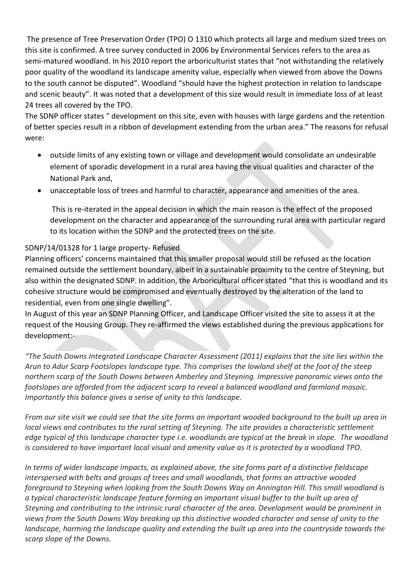The presence of Tree Preservation Order (TPO) O 1310 which protects all large and medium sized trees on this site is confirmed. A tree survey conducted in 2006 by Environmental Services refers to the area as semi-matured woodland. In his 2010 report the arboriculturist states that "not withstanding the relatively poor quality of the woodland its landscape amenity value, especially when viewed from above the Downs to the south cannot be disputed". Woodland "should have the highest protection in relation to landscape and scenic beauty". It was noted that a development of this size would result in immediate loss of at least 24 trees all covered by the TPO.

The SDNP officer states " development on this site, even with houses with large gardens and the retention of better species result in a ribbon of development extending from the urban area." The reasons for refusal were:

- outside limits of any existing town or village and development would consolidate an undesirable element of sporadic development in a rural area having the visual qualities and character of the National Park and,
- unacceptable loss of trees and harmful to character, appearance and amenities of the area.

This is re-iterated in the appeal decision in which the main reason is the effect of the proposed development on the character and appearance of the surrounding rural area with particular regard to its location within the SDNP and the protected trees on the site.

# SDNP/14/01328 for 1 large property- Refused

Planning officers' concerns maintained that this smaller proposal would still be refused as the location remained outside the settlement boundary, albeit in a sustainable proximity to the centre of Steyning, but also within the designated SDNP. In addition, the Arboricultural officer stated "that this is woodland and its cohesive structure would be compromised and eventually destroyed by the alteration of the land to residential, even from one single dwelling".

In August of this year an SDNP Planning Officer, and Landscape Officer visited the site to assess it at the request of the Housing Group. They re-affirmed the views established during the previous applications for development:-

*"The South Downs Integrated Landscape Character Assessment (2011) explains that the site lies within the Arun to Adur Scarp Footslopes landscape type. This comprises the lowland shelf at the foot of the steep northern scarp of the South Downs between Amberley and Steyning. Impressive panoramic views onto the footslopes are afforded from the adjacent scarp to reveal a balanced woodland and farmland mosaic. Importantly this balance gives a sense of unity to this landscape.*

*From our site visit we could see that the site forms an important wooded background to the built up area in local views and contributes to the rural setting of Steyning. The site provides a characteristic settlement edge typical of this landscape character type i.e. woodlands are typical at the break in slope. The woodland is considered to have important local visual and amenity value as it is protected by a woodland TPO.*

*In terms of wider landscape impacts, as explained above, the site forms part of a distinctive fieldscape interspersed with belts and groups of trees and small woodlands, that forms an attractive wooded foreground to Steyning when looking from the South Downs Way on Annington Hill. This small woodland is a typical characteristic landscape feature forming an important visual buffer to the built up area of Steyning and contributing to the intrinsic rural character of the area. Development would be prominent in views from the South Downs Way breaking up this distinctive wooded character and sense of unity to the landscape, harming the landscape quality and extending the built up area into the countryside towards the scarp slope of the Downs.*